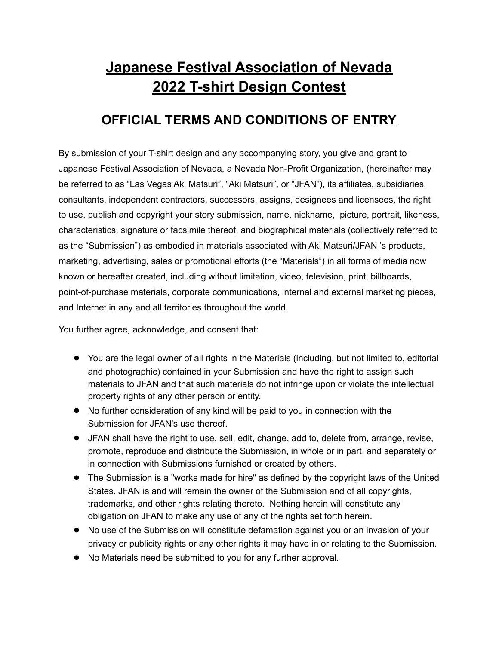# **Japanese Festival Association of Nevada 2022 T-shirt Design Contest**

# **OFFICIAL TERMS AND CONDITIONS OF ENTRY**

By submission of your T-shirt design and any accompanying story, you give and grant to Japanese Festival Association of Nevada, a Nevada Non-Profit Organization, (hereinafter may be referred to as "Las Vegas Aki Matsuri", "Aki Matsuri", or "JFAN"), its affiliates, subsidiaries, consultants, independent contractors, successors, assigns, designees and licensees, the right to use, publish and copyright your story submission, name, nickname, picture, portrait, likeness, characteristics, signature or facsimile thereof, and biographical materials (collectively referred to as the "Submission") as embodied in materials associated with Aki Matsuri/JFAN 's products, marketing, advertising, sales or promotional efforts (the "Materials") in all forms of media now known or hereafter created, including without limitation, video, television, print, billboards, point-of-purchase materials, corporate communications, internal and external marketing pieces, and Internet in any and all territories throughout the world.

You further agree, acknowledge, and consent that:

- You are the legal owner of all rights in the Materials (including, but not limited to, editorial and photographic) contained in your Submission and have the right to assign such materials to JFAN and that such materials do not infringe upon or violate the intellectual property rights of any other person or entity.
- No further consideration of any kind will be paid to you in connection with the Submission for JFAN's use thereof.
- JFAN shall have the right to use, sell, edit, change, add to, delete from, arrange, revise, promote, reproduce and distribute the Submission, in whole or in part, and separately or in connection with Submissions furnished or created by others.
- The Submission is a "works made for hire" as defined by the copyright laws of the United States. JFAN is and will remain the owner of the Submission and of all copyrights, trademarks, and other rights relating thereto. Nothing herein will constitute any obligation on JFAN to make any use of any of the rights set forth herein.
- No use of the Submission will constitute defamation against you or an invasion of your privacy or publicity rights or any other rights it may have in or relating to the Submission.
- No Materials need be submitted to you for any further approval.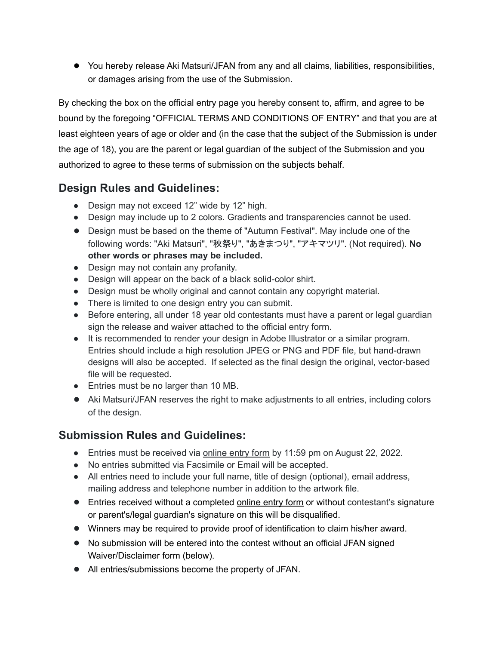● You hereby release Aki Matsuri/JFAN from any and all claims, liabilities, responsibilities, or damages arising from the use of the Submission.

By checking the box on the official entry page you hereby consent to, affirm, and agree to be bound by the foregoing "OFFICIAL TERMS AND CONDITIONS OF ENTRY" and that you are at least eighteen years of age or older and (in the case that the subject of the Submission is under the age of 18), you are the parent or legal guardian of the subject of the Submission and you authorized to agree to these terms of submission on the subjects behalf.

# **Design Rules and Guidelines:**

- Design may not exceed 12" wide by 12" high.
- Design may include up to 2 colors. Gradients and transparencies cannot be used.
- Design must be based on the theme of "Autumn Festival". May include one of the following words: "Aki Matsuri", "秋祭り", "あきまつり", "アキマツリ". (Not required). **No other words or phrases may be included.**
- Design may not contain any profanity.
- Design will appear on the back of a black solid-color shirt.
- Design must be wholly original and cannot contain any copyright material.
- There is limited to one design entry you can submit.
- Before entering, all under 18 year old contestants must have a parent or legal guardian sign the release and waiver attached to the official entry form.
- It is recommended to render your design in Adobe Illustrator or a similar program. Entries should include a high resolution JPEG or PNG and PDF file, but hand-drawn designs will also be accepted. If selected as the final design the original, vector-based file will be requested.
- Entries must be no larger than 10 MB.
- Aki Matsuri/JFAN reserves the right to make adjustments to all entries, including colors of the design.

# **Submission Rules and Guidelines:**

- Entries must be received via online entry form by 11:59 pm on August 22, 2022.
- No entries submitted via Facsimile or Email will be accepted.
- All entries need to include your full name, title of design (optional), email address, mailing address and telephone number in addition to the artwork file.
- Entries received without a completed online entry form or without contestant's signature or parent's/legal guardian's signature on this will be disqualified.
- Winners may be required to provide proof of identification to claim his/her award.
- No submission will be entered into the contest without an official JFAN signed Waiver/Disclaimer form (below).
- All entries/submissions become the property of JFAN.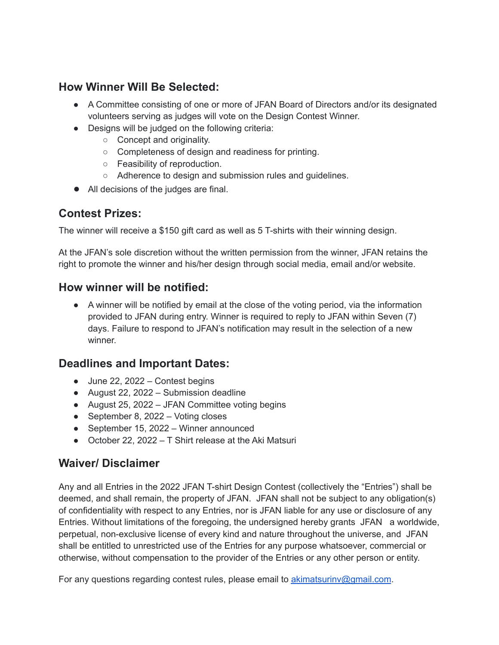### **How Winner Will Be Selected:**

- A Committee consisting of one or more of JFAN Board of Directors and/or its designated volunteers serving as judges will vote on the Design Contest Winner.
- Designs will be judged on the following criteria:
	- Concept and originality.
	- Completeness of design and readiness for printing.
	- Feasibility of reproduction.
	- Adherence to design and submission rules and guidelines.
- All decisions of the judges are final.

#### **Contest Prizes:**

The winner will receive a \$150 gift card as well as 5 T-shirts with their winning design.

At the JFAN's sole discretion without the written permission from the winner, JFAN retains the right to promote the winner and his/her design through social media, email and/or website.

#### **How winner will be notified:**

● A winner will be notified by email at the close of the voting period, via the information provided to JFAN during entry. Winner is required to reply to JFAN within Seven (7) days. Failure to respond to JFAN's notification may result in the selection of a new winner.

#### **Deadlines and Important Dates:**

- $\bullet$  June 22, 2022 Contest begins
- August 22, 2022 Submission deadline
- August 25, 2022 JFAN Committee voting begins
- September 8,  $2022 \text{Voting closes}$
- September 15, 2022 Winner announced
- October 22, 2022 T Shirt release at the Aki Matsuri

#### **Waiver/ Disclaimer**

Any and all Entries in the 2022 JFAN T-shirt Design Contest (collectively the "Entries") shall be deemed, and shall remain, the property of JFAN. JFAN shall not be subject to any obligation(s) of confidentiality with respect to any Entries, nor is JFAN liable for any use or disclosure of any Entries. Without limitations of the foregoing, the undersigned hereby grants JFAN a worldwide, perpetual, non-exclusive license of every kind and nature throughout the universe, and JFAN shall be entitled to unrestricted use of the Entries for any purpose whatsoever, commercial or otherwise, without compensation to the provider of the Entries or any other person or entity.

For any questions regarding contest rules, please email to [akimatsurinv@gmail.com](mailto:akimatsurinv@gmail.com).